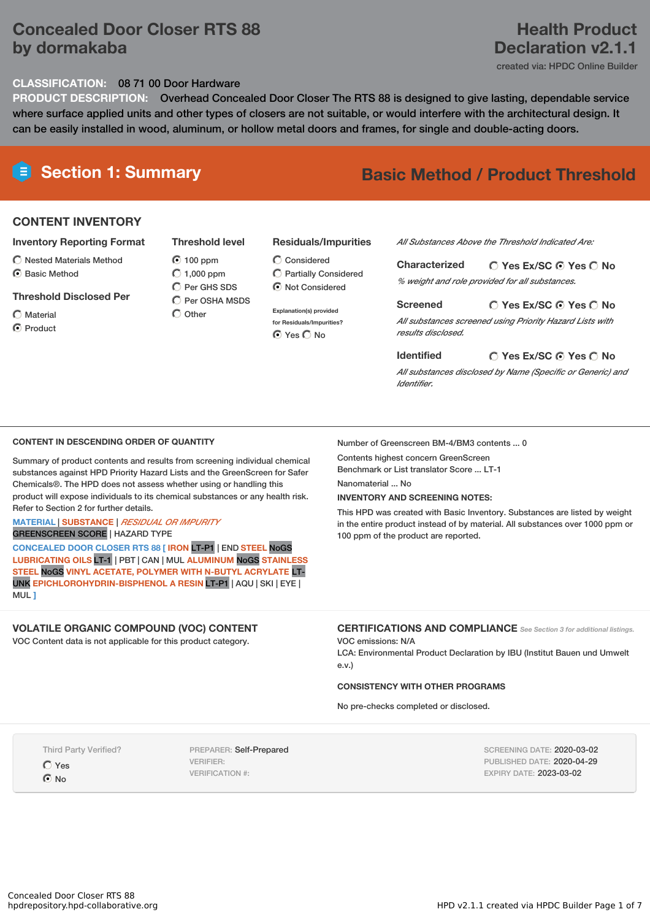# **Concealed Door Closer RTS 88 by dormakaba**

# **Health Product Declaration v2.1.1**

created via: HPDC Online Builder

#### **CLASSIFICATION:** 08 71 00 Door Hardware

**PRODUCT DESCRIPTION:** Overhead Concealed Door Closer The RTS 88 is designed to give lasting, dependable service where surface applied units and other types of closers are not suitable, or would interfere with the architectural design. It can be easily installed in wood, aluminum, or hollow metal doors and frames, for single and double-acting doors.

# **Section 1: Summary Basic Method / Product Threshold**

## **CONTENT INVENTORY**

#### **Inventory Reporting Format**

- $\bigcirc$  Nested Materials Method C Rasic Method
- 

#### **Threshold Disclosed Per**

- Material
- **O** Product

C Per GHS SDS  $\overline{C}$  Per OSHA MSDS  $\bigcap$  Other

- **Residuals/Impurities**
- Partially Considered  $\bigcirc$  Not Considered

**Explanation(s) provided for Residuals/Impurities? O** Yes O No

*All Substances Above the Threshold Indicated Are:*

**Yes Ex/SC Yes No Characterized** *% weight and role provided for all substances.*

#### **Yes Ex/SC Yes No Screened**

*All substances screened using Priority Hazard Lists with results disclosed.*

#### **Yes Ex/SC Yes No Identified**

*All substances disclosed by Name (Specific or Generic) and Identifier.*

#### **CONTENT IN DESCENDING ORDER OF QUANTITY**

Summary of product contents and results from screening individual chemical substances against HPD Priority Hazard Lists and the GreenScreen for Safer Chemicals®. The HPD does not assess whether using or handling this product will expose individuals to its chemical substances or any health risk. Refer to Section 2 for further details.

#### **MATERIAL** | **SUBSTANCE** | *RESIDUAL OR IMPURITY* GREENSCREEN SCORE | HAZARD TYPE

**CONCEALED DOOR CLOSER RTS 88 [ IRON** LT-P1 | END **STEEL** NoGS **LUBRICATING OILS** LT-1 | PBT | CAN | MUL **ALUMINUM** NoGS **STAINLESS STEEL** NoGS **VINYL ACETATE, POLYMER WITH N-BUTYL ACRYLATE** LT-UNK **EPICHLOROHYDRIN-BISPHENOL A RESIN** LT-P1 | AQU | SKI | EYE | MUL **]**

#### **VOLATILE ORGANIC COMPOUND (VOC) CONTENT**

VOC Content data is not applicable for this product category.

Number of Greenscreen BM-4/BM3 contents ... 0

Contents highest concern GreenScreen Benchmark or List translator Score ... LT-1

Nanomaterial ... No

#### **INVENTORY AND SCREENING NOTES:**

This HPD was created with Basic Inventory. Substances are listed by weight in the entire product instead of by material. All substances over 1000 ppm or 100 ppm of the product are reported.

#### **CERTIFICATIONS AND COMPLIANCE** *See Section <sup>3</sup> for additional listings.* VOC emissions: N/A

LCA: Environmental Product Declaration by IBU (Institut Bauen und Umwelt e.v.)

### **CONSISTENCY WITH OTHER PROGRAMS**

No pre-checks completed or disclosed.

Third Party Verified? Yes  $\odot$  No

PREPARER: Self-Prepared VERIFIER: VERIFICATION #:

SCREENING DATE: 2020-03-02 PUBLISHED DATE: 2020-04-29 EXPIRY DATE: 2023-03-02

#### **Threshold level**  $\odot$  100 ppm  $O$  1,000 ppm Considered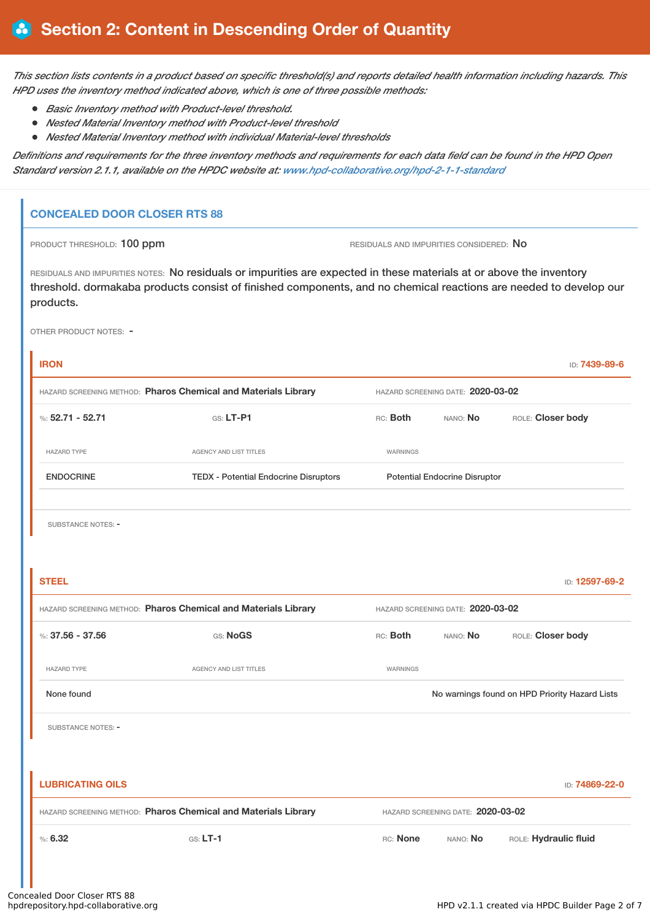This section lists contents in a product based on specific threshold(s) and reports detailed health information including hazards. This *HPD uses the inventory method indicated above, which is one of three possible methods:*

- *Basic Inventory method with Product-level threshold.*
- *Nested Material Inventory method with Product-level threshold*
- *Nested Material Inventory method with individual Material-level thresholds*

Definitions and requirements for the three inventory methods and requirements for each data field can be found in the HPD Open *Standard version 2.1.1, available on the HPDC website at: [www.hpd-collaborative.org/hpd-2-1-1-standard](https://www.hpd-collaborative.org/hpd-2-1-1-standard)*

### **CONCEALED DOOR CLOSER RTS 88**

PRODUCT THRESHOLD: 100 ppm **RESIDUALS AND IMPURITIES CONSIDERED:** No

RESIDUALS AND IMPURITIES NOTES: No residuals or impurities are expected in these materials at or above the inventory threshold. dormakaba products consist of finished components, and no chemical reactions are needed to develop our products.

OTHER PRODUCT NOTES: -

| <b>IRON</b>                                                    |                                              |                                                |                                      | ID: 7439-89-6         |  |
|----------------------------------------------------------------|----------------------------------------------|------------------------------------------------|--------------------------------------|-----------------------|--|
| HAZARD SCREENING METHOD: Pharos Chemical and Materials Library |                                              | HAZARD SCREENING DATE: 2020-03-02              |                                      |                       |  |
| %: $52.71 - 52.71$                                             | GS: LT-P1                                    | RC: Both                                       | ROLE: Closer body                    |                       |  |
| <b>HAZARD TYPE</b>                                             | AGENCY AND LIST TITLES                       | <b>WARNINGS</b>                                |                                      |                       |  |
| <b>ENDOCRINE</b>                                               | <b>TEDX - Potential Endocrine Disruptors</b> |                                                | <b>Potential Endocrine Disruptor</b> |                       |  |
|                                                                |                                              |                                                |                                      |                       |  |
| SUBSTANCE NOTES: -                                             |                                              |                                                |                                      |                       |  |
|                                                                |                                              |                                                |                                      |                       |  |
| <b>STEEL</b>                                                   |                                              |                                                |                                      | ID: 12597-69-2        |  |
| HAZARD SCREENING METHOD: Pharos Chemical and Materials Library |                                              | HAZARD SCREENING DATE: 2020-03-02              |                                      |                       |  |
| %: $37.56 - 37.56$                                             | GS: NoGS                                     | RC: Both                                       | NANO: No                             | ROLE: Closer body     |  |
| <b>HAZARD TYPE</b>                                             | AGENCY AND LIST TITLES                       | WARNINGS                                       |                                      |                       |  |
| None found                                                     |                                              | No warnings found on HPD Priority Hazard Lists |                                      |                       |  |
| SUBSTANCE NOTES: -                                             |                                              |                                                |                                      |                       |  |
|                                                                |                                              |                                                |                                      |                       |  |
| <b>LUBRICATING OILS</b>                                        |                                              |                                                |                                      | ID: 74869-22-0        |  |
| HAZARD SCREENING METHOD: Pharos Chemical and Materials Library |                                              | HAZARD SCREENING DATE: 2020-03-02              |                                      |                       |  |
| %5.32                                                          | $GS: LT-1$                                   | RC: None                                       | NANO: No                             | ROLE: Hydraulic fluid |  |
|                                                                |                                              |                                                |                                      |                       |  |
|                                                                |                                              |                                                |                                      |                       |  |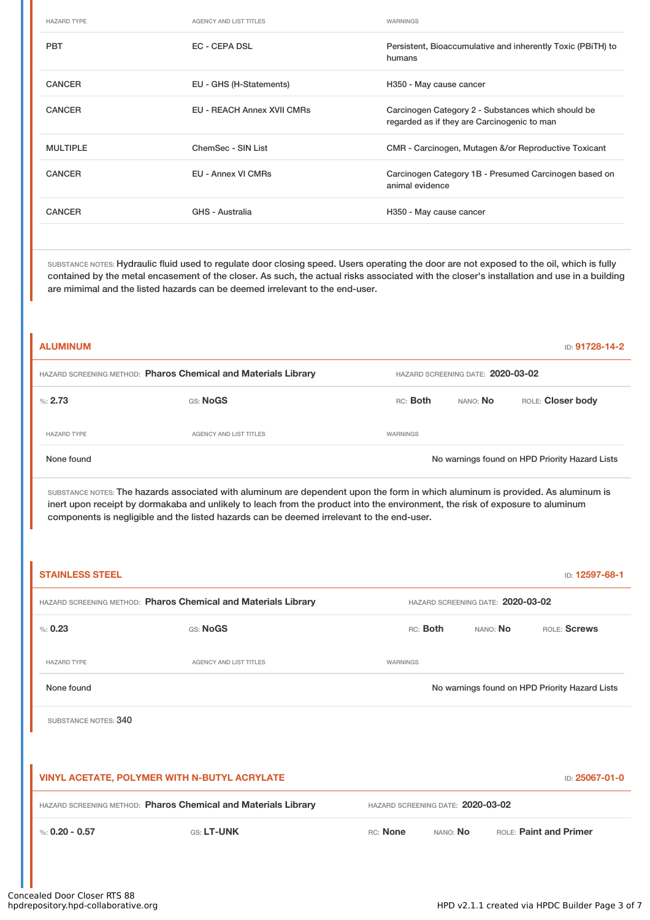| <b>HAZARD TYPE</b> | <b>AGENCY AND LIST TITLES</b>     | WARNINGS                                                                                          |
|--------------------|-----------------------------------|---------------------------------------------------------------------------------------------------|
| <b>PBT</b>         | EC - CEPA DSL                     | Persistent, Bioaccumulative and inherently Toxic (PBITH) to<br>humans                             |
| <b>CANCER</b>      | EU - GHS (H-Statements)           | H350 - May cause cancer                                                                           |
| <b>CANCER</b>      | <b>EU - REACH Annex XVII CMRs</b> | Carcinogen Category 2 - Substances which should be<br>regarded as if they are Carcinogenic to man |
| <b>MULTIPLE</b>    | ChemSec - SIN List                | CMR - Carcinogen, Mutagen &/or Reproductive Toxicant                                              |
| <b>CANCER</b>      | EU - Annex VI CMRs                | Carcinogen Category 1B - Presumed Carcinogen based on<br>animal evidence                          |
| <b>CANCER</b>      | GHS - Australia                   | H350 - May cause cancer                                                                           |

SUBSTANCE NOTES: Hydraulic fluid used to regulate door closing speed. Users operating the door are not exposed to the oil, which is fully contained by the metal encasement of the closer. As such, the actual risks associated with the closer's installation and use in a building are mimimal and the listed hazards can be deemed irrelevant to the end-user.

| <b>ALUMINUM</b>                                                |                                   |          |          | ID: 91728-14-2                                 |
|----------------------------------------------------------------|-----------------------------------|----------|----------|------------------------------------------------|
| HAZARD SCREENING METHOD: Pharos Chemical and Materials Library | HAZARD SCREENING DATE: 2020-03-02 |          |          |                                                |
| %2.73                                                          | GS: NoGS                          | RC: Both | NANO: No | ROLE: Closer body                              |
| <b>HAZARD TYPE</b>                                             | <b>AGENCY AND LIST TITLES</b>     | WARNINGS |          |                                                |
| None found                                                     |                                   |          |          | No warnings found on HPD Priority Hazard Lists |

SUBSTANCE NOTES: The hazards associated with aluminum are dependent upon the form in which aluminum is provided. As aluminum is inert upon receipt by dormakaba and unlikely to leach from the product into the environment, the risk of exposure to aluminum components is negligible and the listed hazards can be deemed irrelevant to the end-user.

| <b>STAINLESS STEEL</b><br>ID: 12597-68-1                              |                        |                                                |          |          |                               |  |
|-----------------------------------------------------------------------|------------------------|------------------------------------------------|----------|----------|-------------------------------|--|
| HAZARD SCREENING METHOD: Pharos Chemical and Materials Library        |                        | HAZARD SCREENING DATE: 2020-03-02              |          |          |                               |  |
| % 0.23                                                                | GS: NoGS               |                                                | RC: Both | NANO: No | ROLE: Screws                  |  |
| <b>HAZARD TYPE</b>                                                    | AGENCY AND LIST TITLES | <b>WARNINGS</b>                                |          |          |                               |  |
| None found                                                            |                        | No warnings found on HPD Priority Hazard Lists |          |          |                               |  |
| SUBSTANCE NOTES: 340                                                  |                        |                                                |          |          |                               |  |
|                                                                       |                        |                                                |          |          |                               |  |
| <b>VINYL ACETATE, POLYMER WITH N-BUTYL ACRYLATE</b><br>ID: 25067-01-0 |                        |                                                |          |          |                               |  |
| HAZARD SCREENING METHOD: Pharos Chemical and Materials Library        |                        | HAZARD SCREENING DATE: 2020-03-02              |          |          |                               |  |
| %: $0.20 - 0.57$                                                      | GS: LT-UNK             | RC: None                                       | NANO: No |          | <b>ROLE: Paint and Primer</b> |  |
|                                                                       |                        |                                                |          |          |                               |  |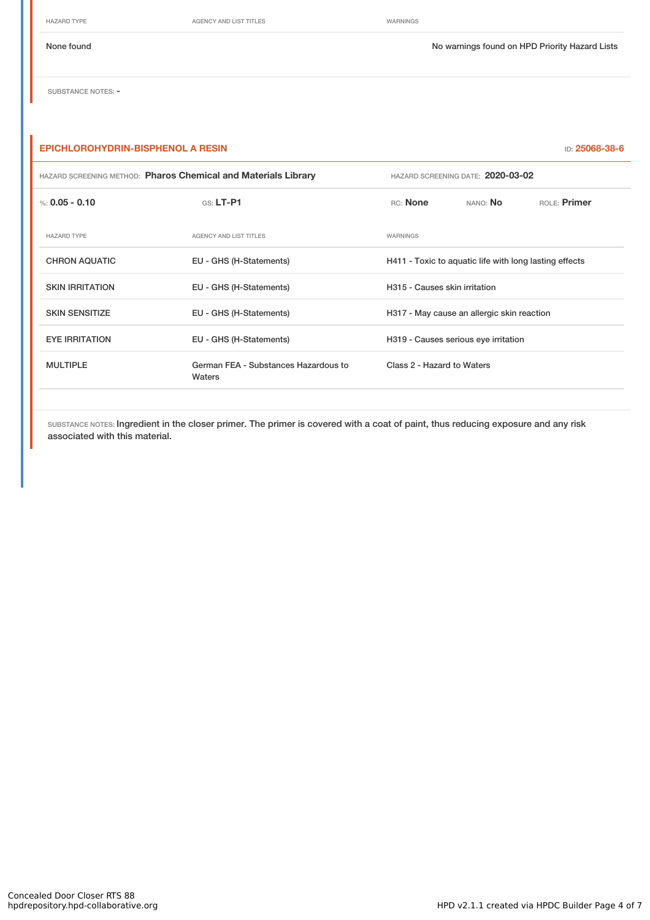HAZARD TYPE **AGENCY AND LIST TITLES** WARNINGS

None found Nowarnings found on HPD Priority Hazard Lists

SUBSTANCE NOTES: -

## **EPICHLOROHYDRIN-BISPHENOL A RESIN** ID: **25068-38-6**

| HAZARD SCREENING METHOD: Pharos Chemical and Materials Library |                                                | HAZARD SCREENING DATE: 2020-03-02    |                                                        |              |  |  |
|----------------------------------------------------------------|------------------------------------------------|--------------------------------------|--------------------------------------------------------|--------------|--|--|
| %: $0.05 - 0.10$                                               | $G.S.$ LT-P1                                   | RC: None                             | NANO: No                                               | ROLE: Primer |  |  |
| <b>HAZARD TYPE</b>                                             | <b>AGENCY AND LIST TITLES</b>                  | WARNINGS                             |                                                        |              |  |  |
| <b>CHRON AQUATIC</b>                                           | EU - GHS (H-Statements)                        |                                      | H411 - Toxic to aquatic life with long lasting effects |              |  |  |
| <b>SKIN IRRITATION</b>                                         | EU - GHS (H-Statements)                        |                                      | H315 - Causes skin irritation                          |              |  |  |
| <b>SKIN SENSITIZE</b>                                          | EU - GHS (H-Statements)                        |                                      | H317 - May cause an allergic skin reaction             |              |  |  |
| <b>EYE IRRITATION</b>                                          | EU - GHS (H-Statements)                        | H319 - Causes serious eye irritation |                                                        |              |  |  |
| <b>MULTIPLE</b>                                                | German FEA - Substances Hazardous to<br>Waters | Class 2 - Hazard to Waters           |                                                        |              |  |  |

SUBSTANCE NOTES: Ingredient in the closer primer. The primer is covered with a coat of paint, thus reducing exposure and any risk associated with this material.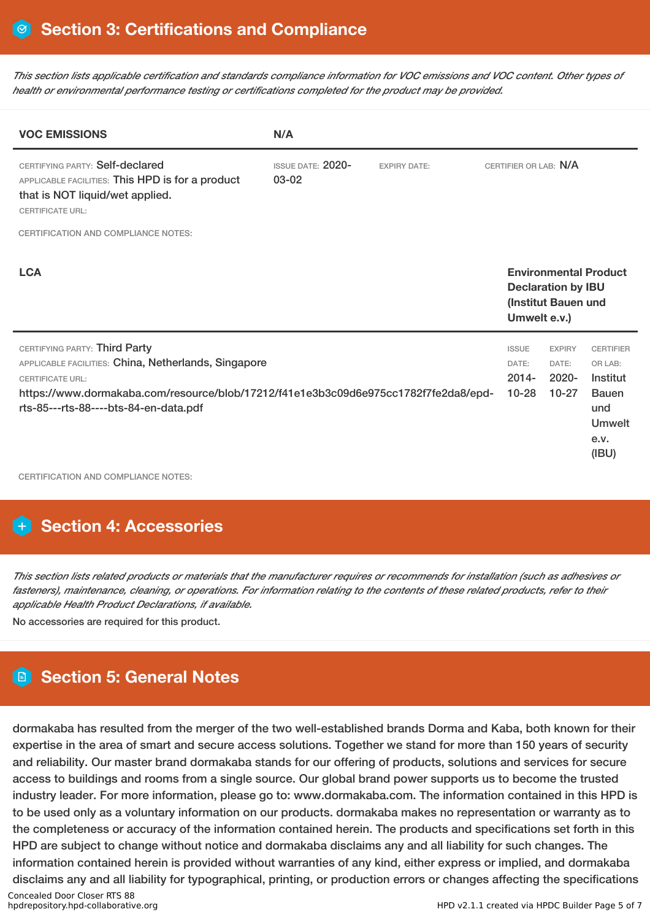This section lists applicable certification and standards compliance information for VOC emissions and VOC content. Other types of *health or environmental performance testing or certifications completed for the product may be provided.*

| <b>VOC EMISSIONS</b>                                                                                                                                                                                                                             | N/A |  |                                                |                                                  |                                                                                                  |
|--------------------------------------------------------------------------------------------------------------------------------------------------------------------------------------------------------------------------------------------------|-----|--|------------------------------------------------|--------------------------------------------------|--------------------------------------------------------------------------------------------------|
| CERTIFYING PARTY: Self-declared<br><b>ISSUE DATE: 2020-</b><br><b>EXPIRY DATE:</b><br>$03 - 02$<br>APPLICABLE FACILITIES: This HPD is for a product<br>that is NOT liquid/wet applied.<br><b>CERTIFICATE URL:</b>                                |     |  | CERTIFIER OR LAB: N/A                          |                                                  |                                                                                                  |
| <b>CERTIFICATION AND COMPLIANCE NOTES:</b>                                                                                                                                                                                                       |     |  |                                                |                                                  |                                                                                                  |
| <b>LCA</b>                                                                                                                                                                                                                                       |     |  | Umwelt e.v.)                                   | <b>Declaration by IBU</b><br>(Institut Bauen und | <b>Environmental Product</b>                                                                     |
| CERTIFYING PARTY: Third Party<br>APPLICABLE FACILITIES: China, Netherlands, Singapore<br><b>CERTIFICATE URL:</b><br>https://www.dormakaba.com/resource/blob/17212/f41e1e3b3c09d6e975cc1782f7fe2da8/epd-<br>rts-85---rts-88----bts-84-en-data.pdf |     |  | <b>ISSUE</b><br>DATE:<br>$2014 -$<br>$10 - 28$ | <b>EXPIRY</b><br>DATE:<br>$2020 -$<br>$10-27$    | <b>CERTIFIER</b><br>OR LAB:<br>Institut<br><b>Bauen</b><br>und<br><b>Umwelt</b><br>e.v.<br>(IBU) |

CERTIFICATION AND COMPLIANCE NOTES:

# **H** Section 4: Accessories

This section lists related products or materials that the manufacturer requires or recommends for installation (such as adhesives or fasteners), maintenance, cleaning, or operations. For information relating to the contents of these related products, refer to their *applicable Health Product Declarations, if available.*

No accessories are required for this product.

# **Section 5: General Notes**

dormakaba has resulted from the merger of the two well-established brands Dorma and Kaba, both known for their expertise in the area of smart and secure access solutions. Together we stand for more than 150 years of security and reliability. Our master brand dormakaba stands for our offering of products, solutions and services for secure access to buildings and rooms from a single source. Our global brand power supports us to become the trusted industry leader. For more information, please go to: www.dormakaba.com. The information contained in this HPD is to be used only as a voluntary information on our products. dormakaba makes no representation or warranty as to the completeness or accuracy of the information contained herein. The products and specifications set forth in this HPD are subject to change without notice and dormakaba disclaims any and all liability for such changes. The information contained herein is provided without warranties of any kind, either express or implied, and dormakaba disclaims any and all liability for typographical, printing, or production errors or changes affecting the specifications Concealed Door Closer RTS 88<br>hpdrepository.hpd-collaborative.org HPD v2.1.1 created via HPDC Builder Page 5 of 7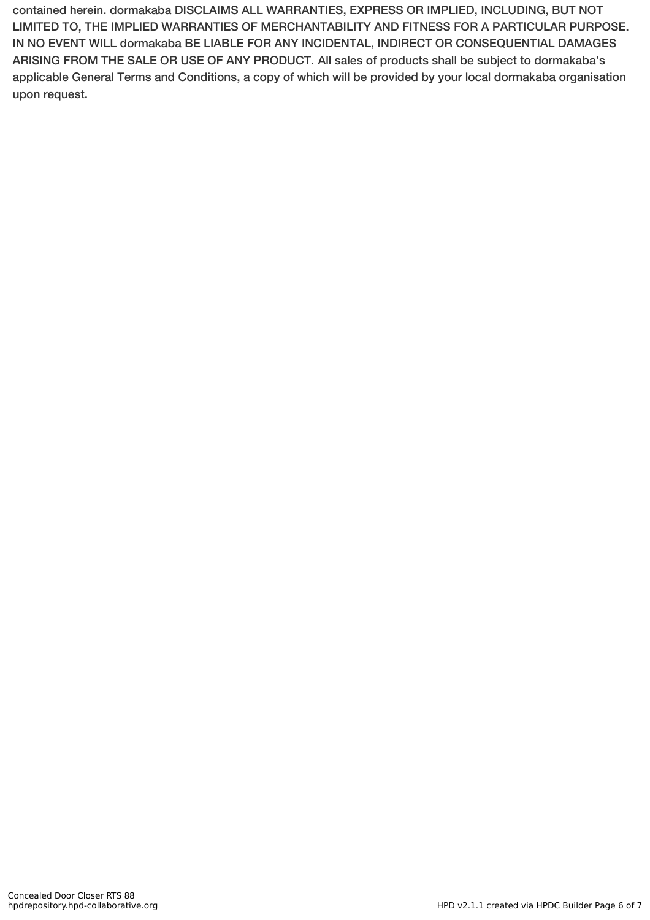contained herein. dormakaba DISCLAIMS ALL WARRANTIES, EXPRESS OR IMPLIED, INCLUDING, BUT NOT LIMITED TO, THE IMPLIED WARRANTIES OF MERCHANTABILITY AND FITNESS FOR A PARTICULAR PURPOSE. IN NO EVENT WILL dormakaba BE LIABLE FOR ANY INCIDENTAL, INDIRECT OR CONSEQUENTIAL DAMAGES ARISING FROM THE SALE OR USE OF ANY PRODUCT. All sales of products shall be subject to dormakaba's applicable General Terms and Conditions, a copy of which will be provided by your local dormakaba organisation upon request.